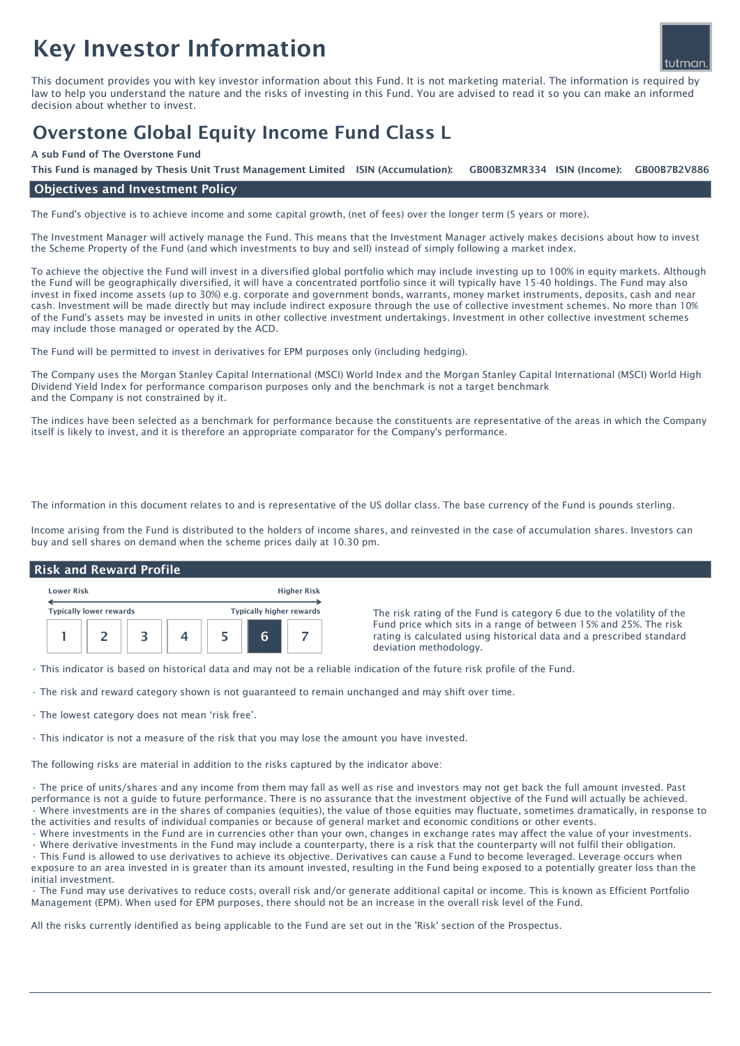# Key Investor Information



This document provides you with key investor information about this Fund. It is not marketing material. The information is required by law to help you understand the nature and the risks of investing in this Fund. You are advised to read it so you can make an informed decision about whether to invest.

# Overstone Global Equity Income Fund Class L

# A sub Fund of The Overstone Fund

GB00B3ZMR334 ISIN (Income): This Fund is managed by Thesis Unit Trust Management Limited ISIN (Accumulation): GB00B3ZMR334 ISIN (Income): GB00B7B2V886

# Objectives and Investment Policy

The Fund's objective is to achieve income and some capital growth, (net of fees) over the longer term (5 years or more).

The Investment Manager will actively manage the Fund. This means that the Investment Manager actively makes decisions about how to invest the Scheme Property of the Fund (and which investments to buy and sell) instead of simply following a market index.

To achieve the objective the Fund will invest in a diversified global portfolio which may include investing up to 100% in equity markets. Although the Fund will be geographically diversified, it will have a concentrated portfolio since it will typically have 15-40 holdings. The Fund may also invest in fixed income assets (up to 30%) e.g. corporate and government bonds, warrants, money market instruments, deposits, cash and near cash. Investment will be made directly but may include indirect exposure through the use of collective investment schemes. No more than 10% of the Fund's assets may be invested in units in other collective investment undertakings. Investment in other collective investment schemes may include those managed or operated by the ACD.

The Fund will be permitted to invest in derivatives for EPM purposes only (including hedging).

The Company uses the Morgan Stanley Capital International (MSCI) World Index and the Morgan Stanley Capital International (MSCI) World High Dividend Yield Index for performance comparison purposes only and the benchmark is not a target benchmark and the Company is not constrained by it.

The indices have been selected as a benchmark for performance because the constituents are representative of the areas in which the Company itself is likely to invest, and it is therefore an appropriate comparator for the Company's performance.

The information in this document relates to and is representative of the US dollar class. The base currency of the Fund is pounds sterling.

Income arising from the Fund is distributed to the holders of income shares, and reinvested in the case of accumulation shares. Investors can buy and sell shares on demand when the scheme prices daily at 10.30 pm.

#### Lower Risk Higher Risk Typically lower rewards Typically higher rewards 1 | 2 | 3 | 4 | 5 | 6 | 7 Risk and Reward Profile The risk rating of the Fund is category 6 due to the volatility of the Fund price which sits in a range of between 15% and 25%. The risk rating is calculated using historical data and a prescribed standard deviation methodology.

• This indicator is based on historical data and may not be a reliable indication of the future risk profile of the Fund.

- The risk and reward category shown is not guaranteed to remain unchanged and may shift over time.
- The lowest category does not mean 'risk free'.
- This indicator is not a measure of the risk that you may lose the amount you have invested.

The following risks are material in addition to the risks captured by the indicator above:

• The price of units/shares and any income from them may fall as well as rise and investors may not get back the full amount invested. Past performance is not a guide to future performance. There is no assurance that the investment objective of the Fund will actually be achieved. • Where investments are in the shares of companies (equities), the value of those equities may fluctuate, sometimes dramatically, in response to the activities and results of individual companies or because of general market and economic conditions or other events.

• Where investments in the Fund are in currencies other than your own, changes in exchange rates may affect the value of your investments.

• Where derivative investments in the Fund may include a counterparty, there is a risk that the counterparty will not fulfil their obligation. • This Fund is allowed to use derivatives to achieve its objective. Derivatives can cause a Fund to become leveraged. Leverage occurs when exposure to an area invested in is greater than its amount invested, resulting in the Fund being exposed to a potentially greater loss than the initial investment.

• The Fund may use derivatives to reduce costs, overall risk and/or generate additional capital or income. This is known as Efficient Portfolio Management (EPM). When used for EPM purposes, there should not be an increase in the overall risk level of the Fund.

All the risks currently identified as being applicable to the Fund are set out in the 'Risk' section of the Prospectus.